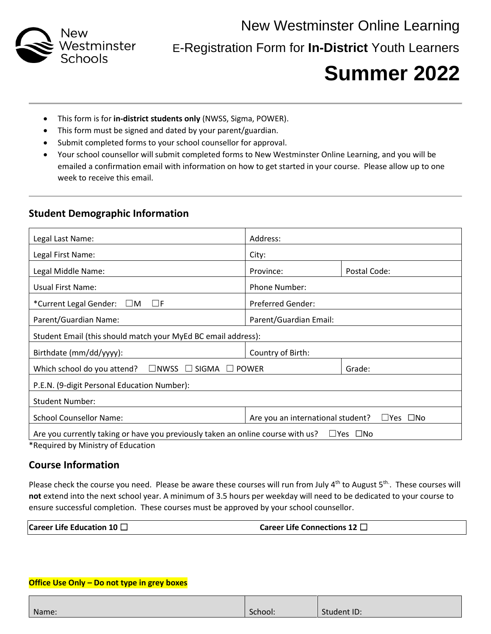

 New Westminster Online Learning E-Registration Form for **In-District** Youth Learners

# **Summer 2022**

- This form is for **in-district students only** (NWSS, Sigma, POWER).
- This form must be signed and dated by your parent/guardian.
- Submit completed forms to your school counsellor for approval.
- Your school counsellor will submit completed forms to New Westminster Online Learning, and you will be emailed a confirmation email with information on how to get started in your course. Please allow up to one week to receive this email.

### **Student Demographic Information**

| Legal Last Name:                                                                                        | Address:                                                  |              |  |
|---------------------------------------------------------------------------------------------------------|-----------------------------------------------------------|--------------|--|
| Legal First Name:                                                                                       | City:                                                     |              |  |
| Legal Middle Name:                                                                                      | Province:                                                 | Postal Code: |  |
| Usual First Name:                                                                                       | Phone Number:                                             |              |  |
| *Current Legal Gender: $\Box M$<br>$\Box F$                                                             | <b>Preferred Gender:</b>                                  |              |  |
| Parent/Guardian Name:                                                                                   | Parent/Guardian Email:                                    |              |  |
| Student Email (this should match your MyEd BC email address):                                           |                                                           |              |  |
| Birthdate (mm/dd/yyyy):                                                                                 | Country of Birth:                                         |              |  |
| Which school do you attend? $\Box$ NWSS $\Box$ SIGMA $\Box$ POWER                                       |                                                           | Grade:       |  |
| P.E.N. (9-digit Personal Education Number):                                                             |                                                           |              |  |
| <b>Student Number:</b>                                                                                  |                                                           |              |  |
| <b>School Counsellor Name:</b>                                                                          | Are you an international student?<br>$\Box$ Yes $\Box$ No |              |  |
| Are you currently taking or have you previously taken an online course with us?<br>$\Box$ Yes $\Box$ No |                                                           |              |  |

\*Required by Ministry of Education

## **Course Information**

Please check the course you need. Please be aware these courses will run from July 4<sup>th</sup> to August 5<sup>th</sup>. These courses will **not** extend into the next school year. A minimum of 3.5 hours per weekday will need to be dedicated to your course to ensure successful completion. These courses must be approved by your school counsellor.

| Career Life Education 10 $\Box$ | Career Life Connections 12 $\sqcup$ |
|---------------------------------|-------------------------------------|
|---------------------------------|-------------------------------------|

#### **Office Use Only – Do not type in grey boxes**

| Name: | School: | Student ID: |
|-------|---------|-------------|